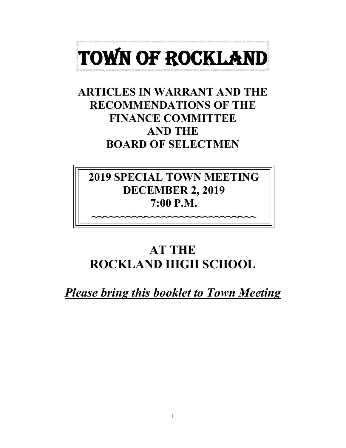

## **ARTICLES IN WARRANT AND THE RECOMMENDATIONS OF THE FINANCE COMMITTEE AND THE BOARD OF SELECTMEN**

# **2019 SPECIAL TOWN MEETING DECEMBER 2, 2019 7:00 P.M.**

**~~~~~~~~~~~~~~~~~~~~~~~~~~~~**

# **AT THE ROCKLAND HIGH SCHOOL**

*Please bring this booklet to Town Meeting*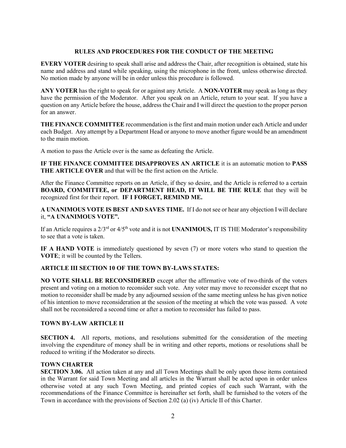#### **RULES AND PROCEDURES FOR THE CONDUCT OF THE MEETING**

**EVERY VOTER** desiring to speak shall arise and address the Chair, after recognition is obtained, state his name and address and stand while speaking, using the microphone in the front, unless otherwise directed. No motion made by anyone will be in order unless this procedure is followed.

**ANY VOTER** has the right to speak for or against any Article. A **NON-VOTER** may speak as long as they have the permission of the Moderator. After you speak on an Article, return to your seat. If you have a question on any Article before the house, address the Chair and I will direct the question to the proper person for an answer.

**THE FINANCE COMMITTEE** recommendation is the first and main motion under each Article and under each Budget. Any attempt by a Department Head or anyone to move another figure would be an amendment to the main motion.

A motion to pass the Article over is the same as defeating the Article.

**IF THE FINANCE COMMITTEE DISAPPROVES AN ARTICLE** it is an automatic motion to **PASS THE ARTICLE OVER** and that will be the first action on the Article.

After the Finance Committee reports on an Article, if they so desire, and the Article is referred to a certain **BOARD, COMMITTEE, or DEPARTMENT HEAD, IT WILL BE THE RULE** that they will be recognized first for their report. **IF I FORGET, REMIND ME.**

**A UNANIMOUS VOTE IS BEST AND SAVES TIME.** If I do not see or hear any objection I will declare it, **"A UNANIMOUS VOTE".**

If an Article requires a 2/3rd or 4/5th vote and it is not **UNANIMOUS,** IT IS THE Moderator's responsibility to see that a vote is taken.

**IF A HAND VOTE** is immediately questioned by seven (7) or more voters who stand to question the **VOTE**; it will be counted by the Tellers.

#### **ARTICLE III SECTION 10 OF THE TOWN BY-LAWS STATES:**

**NO VOTE SHALL BE RECONSIDERED** except after the affirmative vote of two-thirds of the voters present and voting on a motion to reconsider such vote. Any voter may move to reconsider except that no motion to reconsider shall be made by any adjourned session of the same meeting unless he has given notice of his intention to move reconsideration at the session of the meeting at which the vote was passed. A vote shall not be reconsidered a second time or after a motion to reconsider has failed to pass.

#### **TOWN BY-LAW ARTICLE II**

**SECTION 4.** All reports, motions, and resolutions submitted for the consideration of the meeting involving the expenditure of money shall be in writing and other reports, motions or resolutions shall be reduced to writing if the Moderator so directs.

#### **TOWN CHARTER**

**SECTION 3.06.** All action taken at any and all Town Meetings shall be only upon those items contained in the Warrant for said Town Meeting and all articles in the Warrant shall be acted upon in order unless otherwise voted at any such Town Meeting, and printed copies of each such Warrant, with the recommendations of the Finance Committee is hereinafter set forth, shall be furnished to the voters of the Town in accordance with the provisions of Section 2.02 (a) (iv) Article II of this Charter.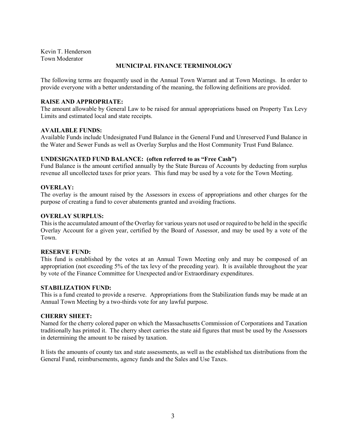Kevin T. Henderson Town Moderator

#### **MUNICIPAL FINANCE TERMINOLOGY**

The following terms are frequently used in the Annual Town Warrant and at Town Meetings. In order to provide everyone with a better understanding of the meaning, the following definitions are provided.

#### **RAISE AND APPROPRIATE:**

The amount allowable by General Law to be raised for annual appropriations based on Property Tax Levy Limits and estimated local and state receipts.

#### **AVAILABLE FUNDS:**

Available Funds include Undesignated Fund Balance in the General Fund and Unreserved Fund Balance in the Water and Sewer Funds as well as Overlay Surplus and the Host Community Trust Fund Balance.

#### **UNDESIGNATED FUND BALANCE: (often referred to as "Free Cash")**

Fund Balance is the amount certified annually by the State Bureau of Accounts by deducting from surplus revenue all uncollected taxes for prior years. This fund may be used by a vote for the Town Meeting.

#### **OVERLAY:**

The overlay is the amount raised by the Assessors in excess of appropriations and other charges for the purpose of creating a fund to cover abatements granted and avoiding fractions.

#### **OVERLAY SURPLUS:**

This is the accumulated amount of the Overlay for various years not used or required to be held in the specific Overlay Account for a given year, certified by the Board of Assessor, and may be used by a vote of the Town.

#### **RESERVE FUND:**

This fund is established by the votes at an Annual Town Meeting only and may be composed of an appropriation (not exceeding 5% of the tax levy of the preceding year). It is available throughout the year by vote of the Finance Committee for Unexpected and/or Extraordinary expenditures.

#### **STABILIZATION FUND:**

This is a fund created to provide a reserve. Appropriations from the Stabilization funds may be made at an Annual Town Meeting by a two-thirds vote for any lawful purpose.

#### **CHERRY SHEET:**

Named for the cherry colored paper on which the Massachusetts Commission of Corporations and Taxation traditionally has printed it. The cherry sheet carries the state aid figures that must be used by the Assessors in determining the amount to be raised by taxation.

It lists the amounts of county tax and state assessments, as well as the established tax distributions from the General Fund, reimbursements, agency funds and the Sales and Use Taxes.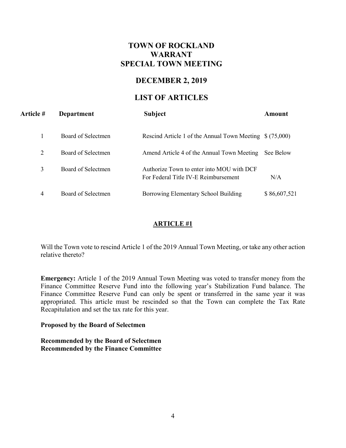## **TOWN OF ROCKLAND WARRANT SPECIAL TOWN MEETING**

## **DECEMBER 2, 2019**

## **LIST OF ARTICLES**

| Article # | Department         | <b>Subject</b>                                                                    | Amount       |
|-----------|--------------------|-----------------------------------------------------------------------------------|--------------|
|           | Board of Selectmen | Rescind Article 1 of the Annual Town Meeting \$(75,000)                           |              |
| 2         | Board of Selectmen | Amend Article 4 of the Annual Town Meeting                                        | See Below    |
| 3         | Board of Selectmen | Authorize Town to enter into MOU with DCF<br>For Federal Title IV-E Reimbursement | N/A          |
| 4         | Board of Selectmen | Borrowing Elementary School Building                                              | \$86,607,521 |

## **ARTICLE #1**

Will the Town vote to rescind Article 1 of the 2019 Annual Town Meeting, or take any other action relative thereto?

**Emergency:** Article 1 of the 2019 Annual Town Meeting was voted to transfer money from the Finance Committee Reserve Fund into the following year's Stabilization Fund balance. The Finance Committee Reserve Fund can only be spent or transferred in the same year it was appropriated. This article must be rescinded so that the Town can complete the Tax Rate Recapitulation and set the tax rate for this year.

#### **Proposed by the Board of Selectmen**

**Recommended by the Board of Selectmen Recommended by the Finance Committee**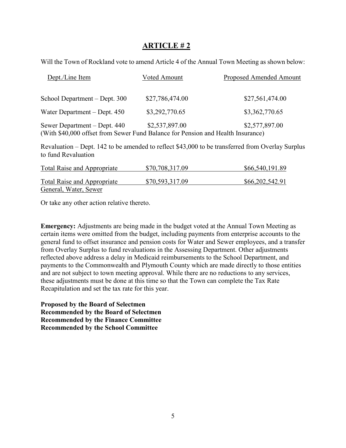## **ARTICLE # 2**

Will the Town of Rockland vote to amend Article 4 of the Annual Town Meeting as shown below:

| Dept./Line Item                                                                                                 | Voted Amount    | <b>Proposed Amended Amount</b> |
|-----------------------------------------------------------------------------------------------------------------|-----------------|--------------------------------|
| School Department – Dept. 300                                                                                   | \$27,786,474.00 | \$27,561,474.00                |
| Water Department – Dept. 450                                                                                    | \$3,292,770.65  | \$3,362,770.65                 |
| Sewer Department – Dept. 440<br>(With \$40,000 offset from Sewer Fund Balance for Pension and Health Insurance) | \$2,537,897.00  | \$2,577,897.00                 |

Revaluation – Dept. 142 to be amended to reflect \$43,000 to be transferred from Overlay Surplus to fund Revaluation

| <b>Total Raise and Appropriate</b> | \$70,708,317.09 | \$66,540,191.89 |
|------------------------------------|-----------------|-----------------|
| Total Raise and Appropriate        | \$70,593,317.09 | \$66,202,542.91 |
| General, Water, Sewer              |                 |                 |

Or take any other action relative thereto.

**Emergency:** Adjustments are being made in the budget voted at the Annual Town Meeting as certain items were omitted from the budget, including payments from enterprise accounts to the general fund to offset insurance and pension costs for Water and Sewer employees, and a transfer from Overlay Surplus to fund revaluations in the Assessing Department. Other adjustments reflected above address a delay in Medicaid reimbursements to the School Department, and payments to the Commonwealth and Plymouth County which are made directly to those entities and are not subject to town meeting approval. While there are no reductions to any services, these adjustments must be done at this time so that the Town can complete the Tax Rate Recapitulation and set the tax rate for this year.

**Proposed by the Board of Selectmen Recommended by the Board of Selectmen Recommended by the Finance Committee Recommended by the School Committee**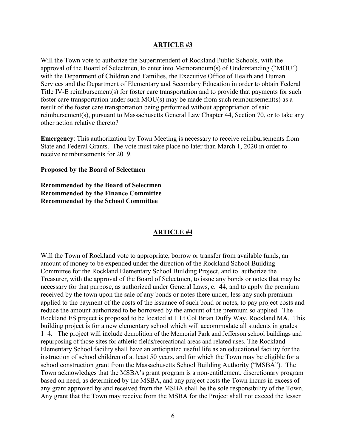#### **ARTICLE #3**

Will the Town vote to authorize the Superintendent of Rockland Public Schools, with the approval of the Board of Selectmen, to enter into Memorandum(s) of Understanding ("MOU") with the Department of Children and Families, the Executive Office of Health and Human Services and the Department of Elementary and Secondary Education in order to obtain Federal Title IV-E reimbursement(s) for foster care transportation and to provide that payments for such foster care transportation under such MOU(s) may be made from such reimbursement(s) as a result of the foster care transportation being performed without appropriation of said reimbursement(s), pursuant to Massachusetts General Law Chapter 44, Section 70, or to take any other action relative thereto?

**Emergency**: This authorization by Town Meeting is necessary to receive reimbursements from State and Federal Grants. The vote must take place no later than March 1, 2020 in order to receive reimbursements for 2019.

**Proposed by the Board of Selectmen**

**Recommended by the Board of Selectmen Recommended by the Finance Committee Recommended by the School Committee**

#### **ARTICLE #4**

Will the Town of Rockland vote to appropriate, borrow or transfer from available funds, an amount of money to be expended under the direction of the Rockland School Building Committee for the Rockland Elementary School Building Project, and to authorize the Treasurer, with the approval of the Board of Selectmen, to issue any bonds or notes that may be necessary for that purpose, as authorized under General Laws, c. 44, and to apply the premium received by the town upon the sale of any bonds or notes there under, less any such premium applied to the payment of the costs of the issuance of such bond or notes, to pay project costs and reduce the amount authorized to be borrowed by the amount of the premium so applied. The Rockland ES project is proposed to be located at 1 Lt Col Brian Duffy Way, Rockland MA. This building project is for a new elementary school which will accommodate all students in grades 1–4. The project will include demolition of the Memorial Park and Jefferson school buildings and repurposing of those sites for athletic fields/recreational areas and related uses. The Rockland Elementary School facility shall have an anticipated useful life as an educational facility for the instruction of school children of at least 50 years, and for which the Town may be eligible for a school construction grant from the Massachusetts School Building Authority ("MSBA"). The Town acknowledges that the MSBA's grant program is a non-entitlement, discretionary program based on need, as determined by the MSBA, and any project costs the Town incurs in excess of any grant approved by and received from the MSBA shall be the sole responsibility of the Town. Any grant that the Town may receive from the MSBA for the Project shall not exceed the lesser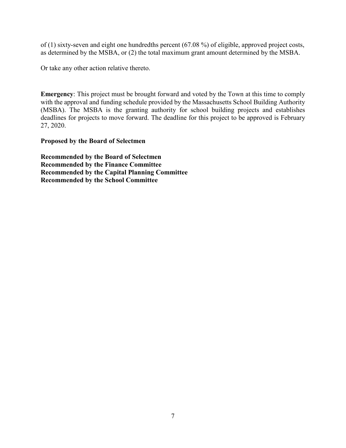of (1) sixty-seven and eight one hundredths percent (67.08 %) of eligible, approved project costs, as determined by the MSBA, or (2) the total maximum grant amount determined by the MSBA.

Or take any other action relative thereto.

**Emergency**: This project must be brought forward and voted by the Town at this time to comply with the approval and funding schedule provided by the Massachusetts School Building Authority (MSBA). The MSBA is the granting authority for school building projects and establishes deadlines for projects to move forward. The deadline for this project to be approved is February 27, 2020.

**Proposed by the Board of Selectmen** 

**Recommended by the Board of Selectmen Recommended by the Finance Committee Recommended by the Capital Planning Committee Recommended by the School Committee**